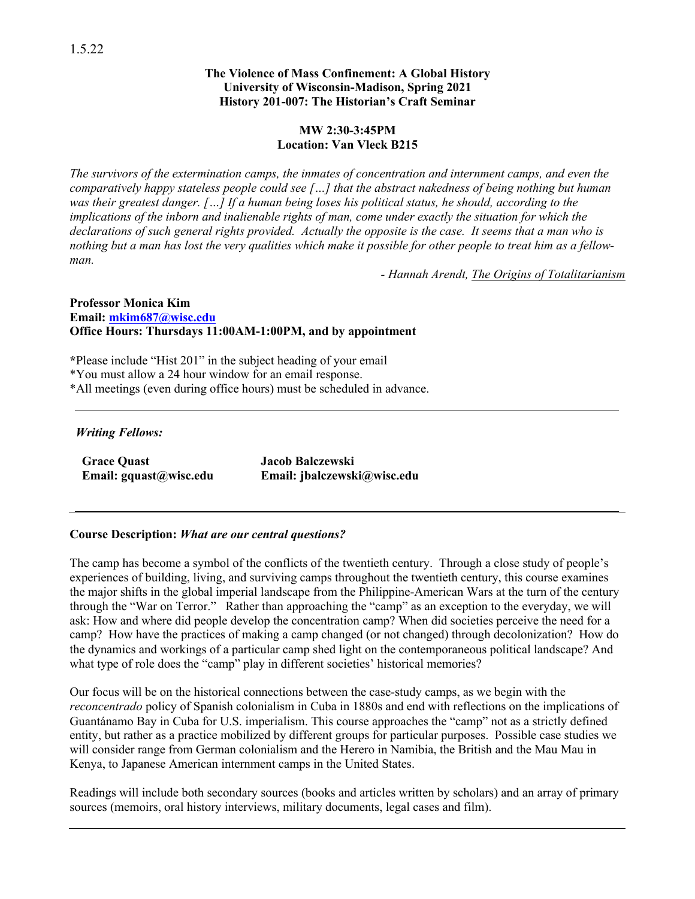#### **The Violence of Mass Confinement: A Global History University of Wisconsin-Madison, Spring 2021 History 201-007: The Historian's Craft Seminar**

#### **MW 2:30-3:45PM Location: Van Vleck B215**

*The survivors of the extermination camps, the inmates of concentration and internment camps, and even the comparatively happy stateless people could see […] that the abstract nakedness of being nothing but human was their greatest danger. […] If a human being loses his political status, he should, according to the implications of the inborn and inalienable rights of man, come under exactly the situation for which the declarations of such general rights provided. Actually the opposite is the case. It seems that a man who is nothing but a man has lost the very qualities which make it possible for other people to treat him as a fellowman.*

*- Hannah Arendt, The Origins of Totalitarianism*

#### **Professor Monica Kim Email: mkim687@wisc.edu Office Hours: Thursdays 11:00AM-1:00PM, and by appointment**

**\***Please include "Hist 201" in the subject heading of your email \*You must allow a 24 hour window for an email response. \*All meetings (even during office hours) must be scheduled in advance.

#### *Writing Fellows:*

**Grace Quast Email: gquast@wisc.edu** **Jacob Balczewski Email: jbalczewski@wisc.edu**

### **Course Description:** *What are our central questions?*

The camp has become a symbol of the conflicts of the twentieth century. Through a close study of people's experiences of building, living, and surviving camps throughout the twentieth century, this course examines the major shifts in the global imperial landscape from the Philippine-American Wars at the turn of the century through the "War on Terror." Rather than approaching the "camp" as an exception to the everyday, we will ask: How and where did people develop the concentration camp? When did societies perceive the need for a camp? How have the practices of making a camp changed (or not changed) through decolonization? How do the dynamics and workings of a particular camp shed light on the contemporaneous political landscape? And what type of role does the "camp" play in different societies' historical memories?

Our focus will be on the historical connections between the case-study camps, as we begin with the *reconcentrado* policy of Spanish colonialism in Cuba in 1880s and end with reflections on the implications of Guantánamo Bay in Cuba for U.S. imperialism. This course approaches the "camp" not as a strictly defined entity, but rather as a practice mobilized by different groups for particular purposes. Possible case studies we will consider range from German colonialism and the Herero in Namibia, the British and the Mau Mau in Kenya, to Japanese American internment camps in the United States.

Readings will include both secondary sources (books and articles written by scholars) and an array of primary sources (memoirs, oral history interviews, military documents, legal cases and film).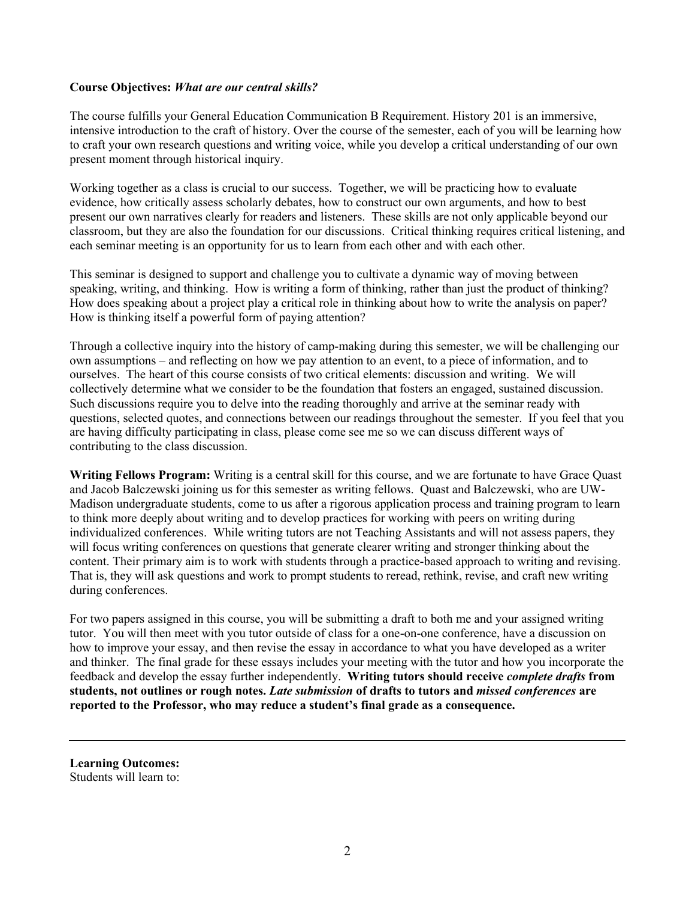#### **Course Objectives:** *What are our central skills?*

The course fulfills your General Education Communication B Requirement. History 201 is an immersive, intensive introduction to the craft of history. Over the course of the semester, each of you will be learning how to craft your own research questions and writing voice, while you develop a critical understanding of our own present moment through historical inquiry.

Working together as a class is crucial to our success. Together, we will be practicing how to evaluate evidence, how critically assess scholarly debates, how to construct our own arguments, and how to best present our own narratives clearly for readers and listeners. These skills are not only applicable beyond our classroom, but they are also the foundation for our discussions. Critical thinking requires critical listening, and each seminar meeting is an opportunity for us to learn from each other and with each other.

This seminar is designed to support and challenge you to cultivate a dynamic way of moving between speaking, writing, and thinking. How is writing a form of thinking, rather than just the product of thinking? How does speaking about a project play a critical role in thinking about how to write the analysis on paper? How is thinking itself a powerful form of paying attention?

Through a collective inquiry into the history of camp-making during this semester, we will be challenging our own assumptions – and reflecting on how we pay attention to an event, to a piece of information, and to ourselves. The heart of this course consists of two critical elements: discussion and writing. We will collectively determine what we consider to be the foundation that fosters an engaged, sustained discussion. Such discussions require you to delve into the reading thoroughly and arrive at the seminar ready with questions, selected quotes, and connections between our readings throughout the semester. If you feel that you are having difficulty participating in class, please come see me so we can discuss different ways of contributing to the class discussion.

**Writing Fellows Program:** Writing is a central skill for this course, and we are fortunate to have Grace Quast and Jacob Balczewski joining us for this semester as writing fellows. Quast and Balczewski, who are UW-Madison undergraduate students, come to us after a rigorous application process and training program to learn to think more deeply about writing and to develop practices for working with peers on writing during individualized conferences. While writing tutors are not Teaching Assistants and will not assess papers, they will focus writing conferences on questions that generate clearer writing and stronger thinking about the content. Their primary aim is to work with students through a practice-based approach to writing and revising. That is, they will ask questions and work to prompt students to reread, rethink, revise, and craft new writing during conferences.

For two papers assigned in this course, you will be submitting a draft to both me and your assigned writing tutor. You will then meet with you tutor outside of class for a one-on-one conference, have a discussion on how to improve your essay, and then revise the essay in accordance to what you have developed as a writer and thinker. The final grade for these essays includes your meeting with the tutor and how you incorporate the feedback and develop the essay further independently. **Writing tutors should receive** *complete drafts* **from students, not outlines or rough notes.** *Late submission* **of drafts to tutors and** *missed conferences* **are reported to the Professor, who may reduce a student's final grade as a consequence.**

**Learning Outcomes:** Students will learn to: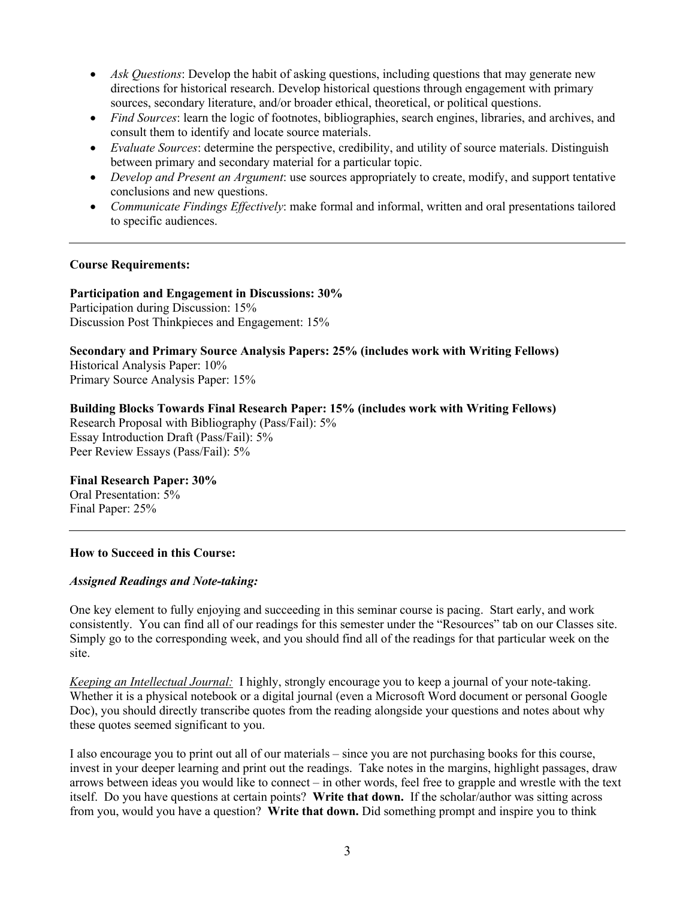- *Ask Questions*: Develop the habit of asking questions, including questions that may generate new directions for historical research. Develop historical questions through engagement with primary sources, secondary literature, and/or broader ethical, theoretical, or political questions.
- *Find Sources*: learn the logic of footnotes, bibliographies, search engines, libraries, and archives, and consult them to identify and locate source materials.
- *Evaluate Sources*: determine the perspective, credibility, and utility of source materials. Distinguish between primary and secondary material for a particular topic.
- *Develop and Present an Argument*: use sources appropriately to create, modify, and support tentative conclusions and new questions.
- *Communicate Findings Effectively*: make formal and informal, written and oral presentations tailored to specific audiences.

#### **Course Requirements:**

**Participation and Engagement in Discussions: 30%**

Participation during Discussion: 15% Discussion Post Thinkpieces and Engagement: 15%

**Secondary and Primary Source Analysis Papers: 25% (includes work with Writing Fellows)** Historical Analysis Paper: 10% Primary Source Analysis Paper: 15%

**Building Blocks Towards Final Research Paper: 15% (includes work with Writing Fellows)** Research Proposal with Bibliography (Pass/Fail): 5% Essay Introduction Draft (Pass/Fail): 5% Peer Review Essays (Pass/Fail): 5%

#### **Final Research Paper: 30%**

Oral Presentation: 5% Final Paper: 25%

#### **How to Succeed in this Course:**

#### *Assigned Readings and Note-taking:*

One key element to fully enjoying and succeeding in this seminar course is pacing. Start early, and work consistently. You can find all of our readings for this semester under the "Resources" tab on our Classes site. Simply go to the corresponding week, and you should find all of the readings for that particular week on the site.

*Keeping an Intellectual Journal:* I highly, strongly encourage you to keep a journal of your note-taking. Whether it is a physical notebook or a digital journal (even a Microsoft Word document or personal Google Doc), you should directly transcribe quotes from the reading alongside your questions and notes about why these quotes seemed significant to you.

I also encourage you to print out all of our materials – since you are not purchasing books for this course, invest in your deeper learning and print out the readings. Take notes in the margins, highlight passages, draw arrows between ideas you would like to connect – in other words, feel free to grapple and wrestle with the text itself. Do you have questions at certain points? **Write that down.** If the scholar/author was sitting across from you, would you have a question? **Write that down.** Did something prompt and inspire you to think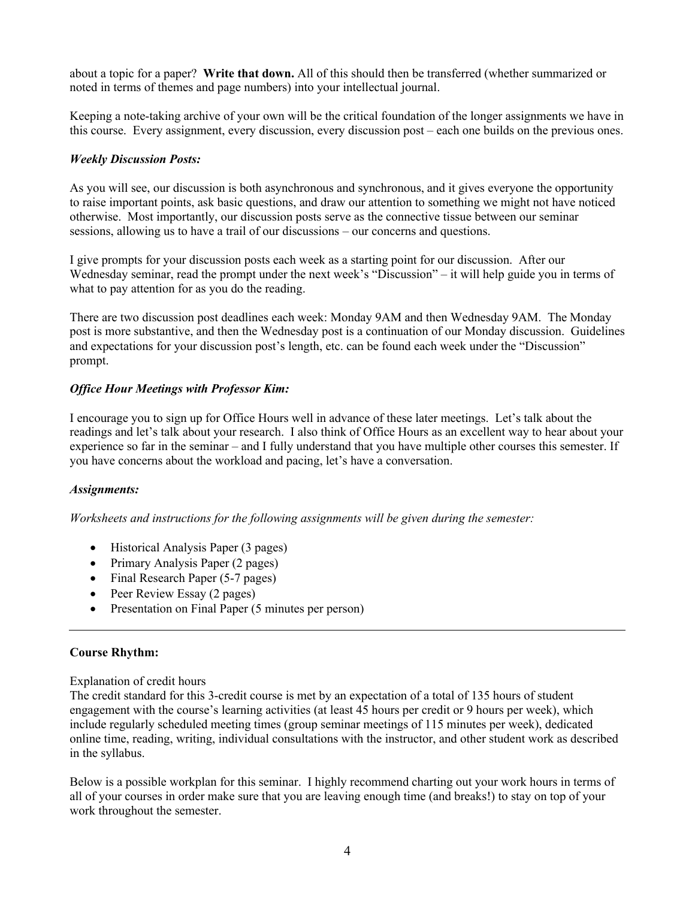about a topic for a paper? **Write that down.** All of this should then be transferred (whether summarized or noted in terms of themes and page numbers) into your intellectual journal.

Keeping a note-taking archive of your own will be the critical foundation of the longer assignments we have in this course. Every assignment, every discussion, every discussion post – each one builds on the previous ones.

#### *Weekly Discussion Posts:*

As you will see, our discussion is both asynchronous and synchronous, and it gives everyone the opportunity to raise important points, ask basic questions, and draw our attention to something we might not have noticed otherwise. Most importantly, our discussion posts serve as the connective tissue between our seminar sessions, allowing us to have a trail of our discussions – our concerns and questions.

I give prompts for your discussion posts each week as a starting point for our discussion. After our Wednesday seminar, read the prompt under the next week's "Discussion" – it will help guide you in terms of what to pay attention for as you do the reading.

There are two discussion post deadlines each week: Monday 9AM and then Wednesday 9AM. The Monday post is more substantive, and then the Wednesday post is a continuation of our Monday discussion. Guidelines and expectations for your discussion post's length, etc. can be found each week under the "Discussion" prompt.

### *Office Hour Meetings with Professor Kim:*

I encourage you to sign up for Office Hours well in advance of these later meetings. Let's talk about the readings and let's talk about your research. I also think of Office Hours as an excellent way to hear about your experience so far in the seminar – and I fully understand that you have multiple other courses this semester. If you have concerns about the workload and pacing, let's have a conversation.

#### *Assignments:*

*Worksheets and instructions for the following assignments will be given during the semester:*

- Historical Analysis Paper (3 pages)
- Primary Analysis Paper (2 pages)
- Final Research Paper (5-7 pages)
- Peer Review Essay (2 pages)
- Presentation on Final Paper (5 minutes per person)

#### **Course Rhythm:**

Explanation of credit hours

The credit standard for this 3-credit course is met by an expectation of a total of 135 hours of student engagement with the course's learning activities (at least 45 hours per credit or 9 hours per week), which include regularly scheduled meeting times (group seminar meetings of 115 minutes per week), dedicated online time, reading, writing, individual consultations with the instructor, and other student work as described in the syllabus.

Below is a possible workplan for this seminar. I highly recommend charting out your work hours in terms of all of your courses in order make sure that you are leaving enough time (and breaks!) to stay on top of your work throughout the semester.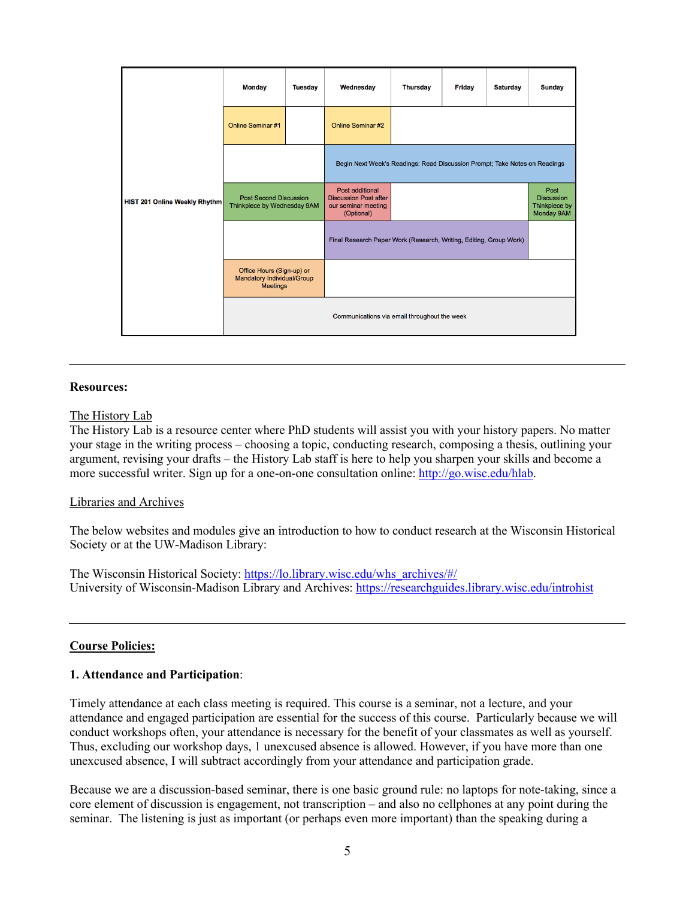| <b>HIST 201 Online Weekly Rhythm</b> | <b>Monday</b>                                                              | <b>Tuesday</b> | Wednesday                                                                            | <b>Thursday</b> | <b>Friday</b> | <b>Saturday</b> | <b>Sunday</b>                                            |
|--------------------------------------|----------------------------------------------------------------------------|----------------|--------------------------------------------------------------------------------------|-----------------|---------------|-----------------|----------------------------------------------------------|
|                                      | <b>Online Seminar #1</b>                                                   |                | <b>Online Seminar #2</b>                                                             |                 |               |                 |                                                          |
|                                      |                                                                            |                | Begin Next Week's Readings: Read Discussion Prompt; Take Notes on Readings           |                 |               |                 |                                                          |
|                                      | <b>Post Second Discussion</b><br>Thinkpiece by Wednesday 9AM               |                | Post additional<br><b>Discussion Post after</b><br>our seminar meeting<br>(Optional) |                 |               |                 | Post<br><b>Discussion</b><br>Thinkpiece by<br>Monday 9AM |
|                                      |                                                                            |                | Final Research Paper Work (Research, Writing, Editing, Group Work)                   |                 |               |                 |                                                          |
|                                      | Office Hours (Sign-up) or<br>Mandatory Individual/Group<br><b>Meetings</b> |                |                                                                                      |                 |               |                 |                                                          |
|                                      | Communications via email throughout the week                               |                |                                                                                      |                 |               |                 |                                                          |

#### **Resources:**

#### The History Lab

The History Lab is a resource center where PhD students will assist you with your history papers. No matter your stage in the writing process – choosing a topic, conducting research, composing a thesis, outlining your argument, revising your drafts – the History Lab staff is here to help you sharpen your skills and become a more successful writer. Sign up for a one-on-one consultation online: http://go.wisc.edu/hlab.

#### Libraries and Archives

The below websites and modules give an introduction to how to conduct research at the Wisconsin Historical Society or at the UW-Madison Library:

The Wisconsin Historical Society: https://lo.library.wisc.edu/whs\_archives/#/ University of Wisconsin-Madison Library and Archives: https://researchguides.library.wisc.edu/introhist

#### **Course Policies:**

#### **1. Attendance and Participation**:

Timely attendance at each class meeting is required. This course is a seminar, not a lecture, and your attendance and engaged participation are essential for the success of this course. Particularly because we will conduct workshops often, your attendance is necessary for the benefit of your classmates as well as yourself. Thus, excluding our workshop days, 1 unexcused absence is allowed. However, if you have more than one unexcused absence, I will subtract accordingly from your attendance and participation grade.

Because we are a discussion-based seminar, there is one basic ground rule: no laptops for note-taking, since a core element of discussion is engagement, not transcription – and also no cellphones at any point during the seminar. The listening is just as important (or perhaps even more important) than the speaking during a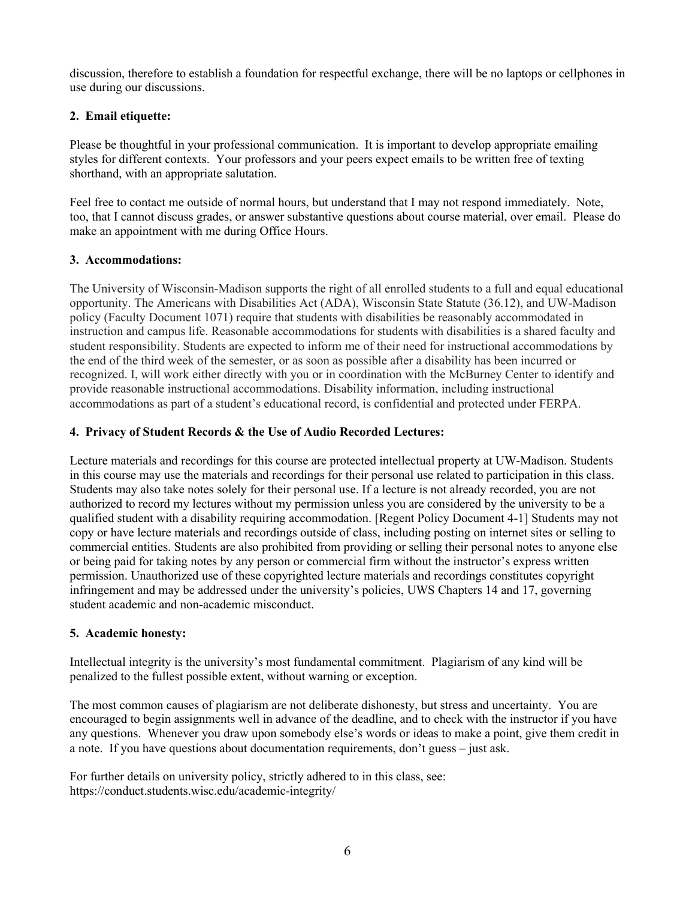discussion, therefore to establish a foundation for respectful exchange, there will be no laptops or cellphones in use during our discussions.

### **2. Email etiquette:**

Please be thoughtful in your professional communication. It is important to develop appropriate emailing styles for different contexts. Your professors and your peers expect emails to be written free of texting shorthand, with an appropriate salutation.

Feel free to contact me outside of normal hours, but understand that I may not respond immediately. Note, too, that I cannot discuss grades, or answer substantive questions about course material, over email. Please do make an appointment with me during Office Hours.

#### **3. Accommodations:**

The University of Wisconsin-Madison supports the right of all enrolled students to a full and equal educational opportunity. The Americans with Disabilities Act (ADA), Wisconsin State Statute (36.12), and UW-Madison policy (Faculty Document 1071) require that students with disabilities be reasonably accommodated in instruction and campus life. Reasonable accommodations for students with disabilities is a shared faculty and student responsibility. Students are expected to inform me of their need for instructional accommodations by the end of the third week of the semester, or as soon as possible after a disability has been incurred or recognized. I, will work either directly with you or in coordination with the McBurney Center to identify and provide reasonable instructional accommodations. Disability information, including instructional accommodations as part of a student's educational record, is confidential and protected under FERPA.

#### **4. Privacy of Student Records & the Use of Audio Recorded Lectures:**

Lecture materials and recordings for this course are protected intellectual property at UW-Madison. Students in this course may use the materials and recordings for their personal use related to participation in this class. Students may also take notes solely for their personal use. If a lecture is not already recorded, you are not authorized to record my lectures without my permission unless you are considered by the university to be a qualified student with a disability requiring accommodation. [Regent Policy Document 4-1] Students may not copy or have lecture materials and recordings outside of class, including posting on internet sites or selling to commercial entities. Students are also prohibited from providing or selling their personal notes to anyone else or being paid for taking notes by any person or commercial firm without the instructor's express written permission. Unauthorized use of these copyrighted lecture materials and recordings constitutes copyright infringement and may be addressed under the university's policies, UWS Chapters 14 and 17, governing student academic and non-academic misconduct.

### **5. Academic honesty:**

Intellectual integrity is the university's most fundamental commitment. Plagiarism of any kind will be penalized to the fullest possible extent, without warning or exception.

The most common causes of plagiarism are not deliberate dishonesty, but stress and uncertainty. You are encouraged to begin assignments well in advance of the deadline, and to check with the instructor if you have any questions. Whenever you draw upon somebody else's words or ideas to make a point, give them credit in a note. If you have questions about documentation requirements, don't guess – just ask.

For further details on university policy, strictly adhered to in this class, see: https://conduct.students.wisc.edu/academic-integrity/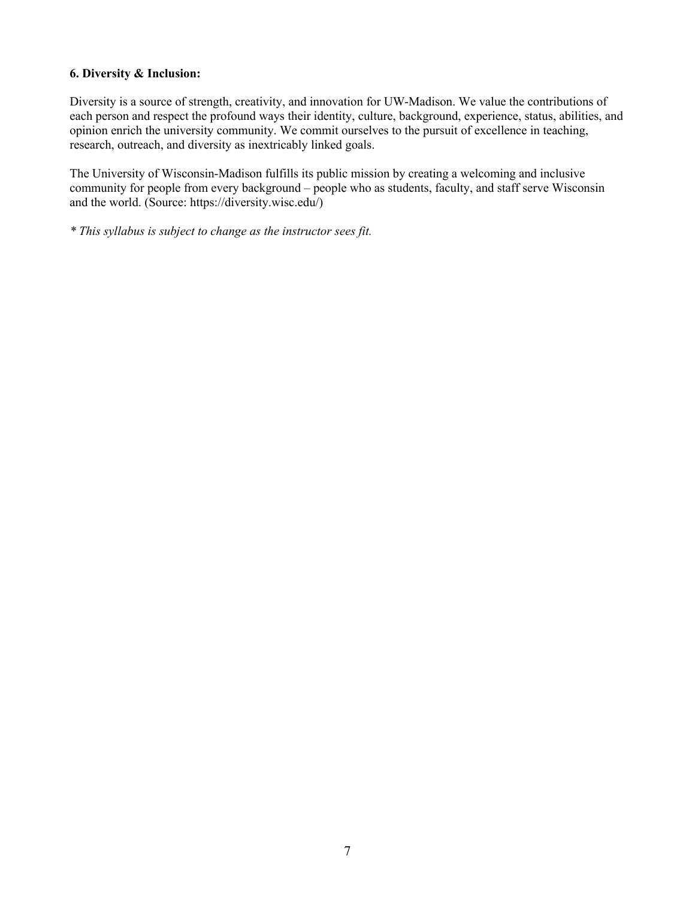#### **6. Diversity & Inclusion:**

Diversity is a source of strength, creativity, and innovation for UW-Madison. We value the contributions of each person and respect the profound ways their identity, culture, background, experience, status, abilities, and opinion enrich the university community. We commit ourselves to the pursuit of excellence in teaching, research, outreach, and diversity as inextricably linked goals.

The University of Wisconsin-Madison fulfills its public mission by creating a welcoming and inclusive community for people from every background – people who as students, faculty, and staff serve Wisconsin and the world. (Source: https://diversity.wisc.edu/)

*\* This syllabus is subject to change as the instructor sees fit.*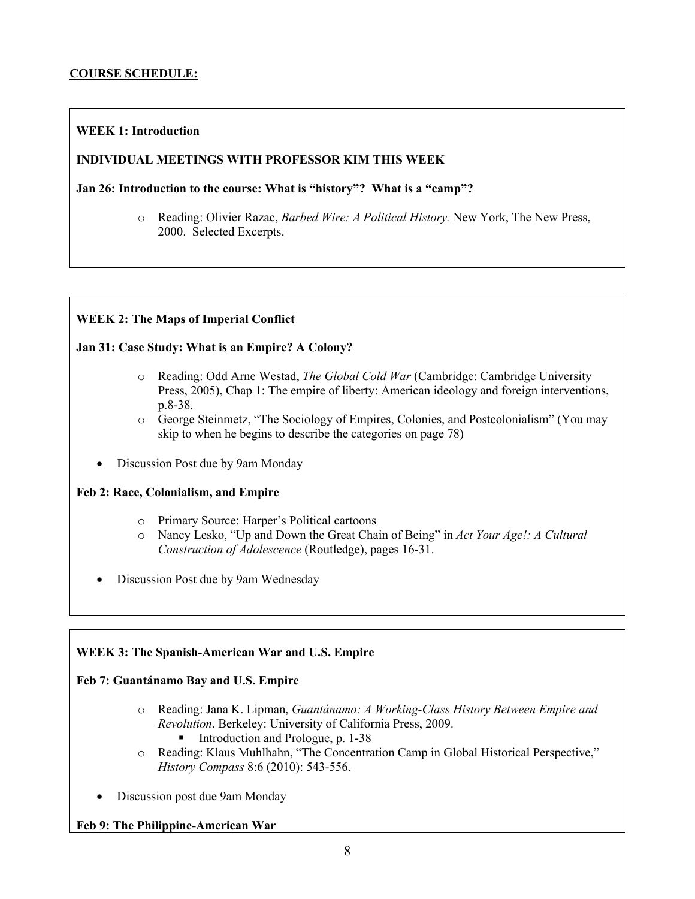#### **COURSE SCHEDULE:**

#### **WEEK 1: Introduction**

#### **INDIVIDUAL MEETINGS WITH PROFESSOR KIM THIS WEEK**

**Jan 26: Introduction to the course: What is "history"? What is a "camp"?**

o Reading: Olivier Razac, *Barbed Wire: A Political History.* New York, The New Press, 2000. Selected Excerpts.

#### **WEEK 2: The Maps of Imperial Conflict**

#### **Jan 31: Case Study: What is an Empire? A Colony?**

- o Reading: Odd Arne Westad, *The Global Cold War* (Cambridge: Cambridge University Press, 2005), Chap 1: The empire of liberty: American ideology and foreign interventions, p.8-38.
- o George Steinmetz, "The Sociology of Empires, Colonies, and Postcolonialism" (You may skip to when he begins to describe the categories on page 78)
- Discussion Post due by 9am Monday

#### **Feb 2: Race, Colonialism, and Empire**

- o Primary Source: Harper's Political cartoons
- o Nancy Lesko, "Up and Down the Great Chain of Being" in *Act Your Age!: A Cultural Construction of Adolescence* (Routledge), pages 16-31.
- Discussion Post due by 9am Wednesday

#### **WEEK 3: The Spanish-American War and U.S. Empire**

### **Feb 7: Guantánamo Bay and U.S. Empire**

- o Reading: Jana K. Lipman, *Guantánamo: A Working-Class History Between Empire and Revolution*. Berkeley: University of California Press, 2009.
	- Introduction and Prologue, p. 1-38
- o Reading: Klaus Muhlhahn, "The Concentration Camp in Global Historical Perspective," *History Compass* 8:6 (2010): 543-556.
- Discussion post due 9am Monday

### **Feb 9: The Philippine-American War**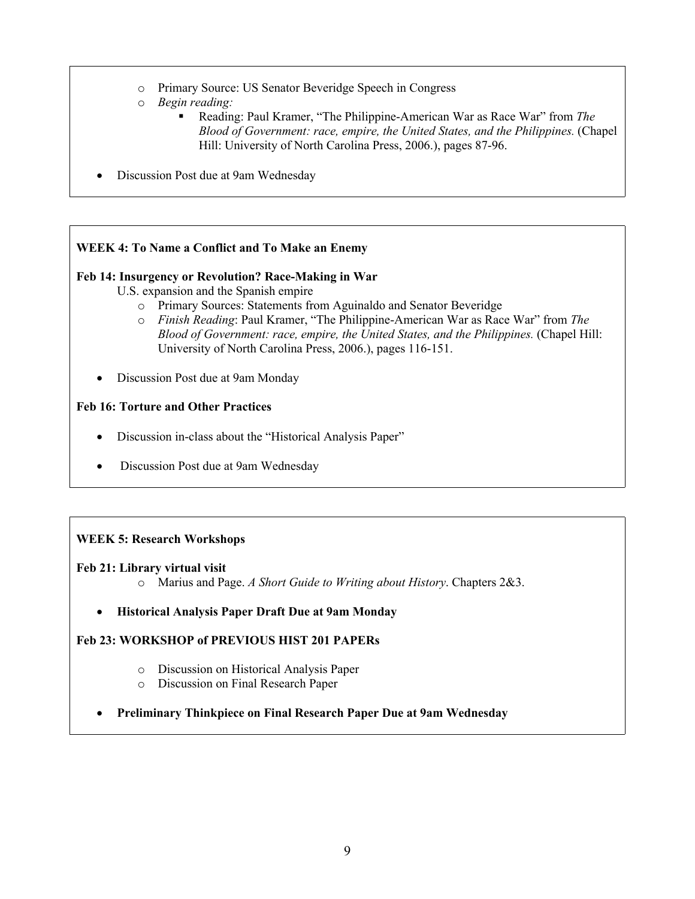- o Primary Source: US Senator Beveridge Speech in Congress
- o *Begin reading:* 
	- Reading: Paul Kramer, "The Philippine-American War as Race War" from *The Blood of Government: race, empire, the United States, and the Philippines.* (Chapel Hill: University of North Carolina Press, 2006.), pages 87-96.
- Discussion Post due at 9am Wednesday

#### **WEEK 4: To Name a Conflict and To Make an Enemy**

#### **Feb 14: Insurgency or Revolution? Race-Making in War**

U.S. expansion and the Spanish empire

- o Primary Sources: Statements from Aguinaldo and Senator Beveridge
- o *Finish Reading*: Paul Kramer, "The Philippine-American War as Race War" from *The Blood of Government: race, empire, the United States, and the Philippines. (Chapel Hill:* University of North Carolina Press, 2006.), pages 116-151.
- Discussion Post due at 9am Monday

#### **Feb 16: Torture and Other Practices**

- Discussion in-class about the "Historical Analysis Paper"
- Discussion Post due at 9am Wednesday

### **WEEK 5: Research Workshops**

#### **Feb 21: Library virtual visit**

- o Marius and Page. *A Short Guide to Writing about History*. Chapters 2&3.
- **Historical Analysis Paper Draft Due at 9am Monday**

### **Feb 23: WORKSHOP of PREVIOUS HIST 201 PAPERs**

- o Discussion on Historical Analysis Paper
	- o Discussion on Final Research Paper
- **Preliminary Thinkpiece on Final Research Paper Due at 9am Wednesday**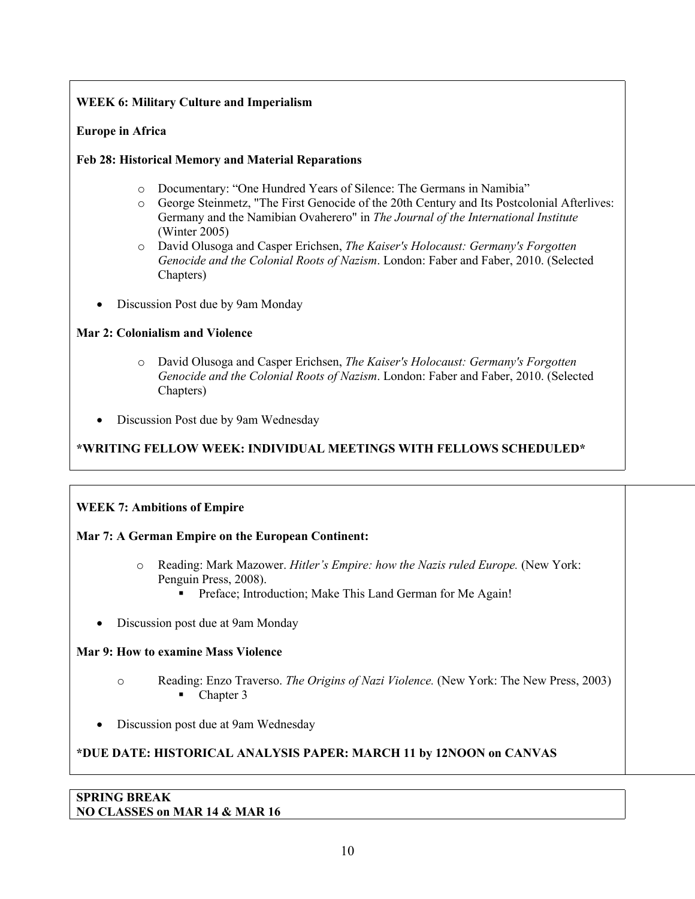### **WEEK 6: Military Culture and Imperialism**

### **Europe in Africa**

### **Feb 28: Historical Memory and Material Reparations**

- o Documentary: "One Hundred Years of Silence: The Germans in Namibia"
- o George Steinmetz, "The First Genocide of the 20th Century and Its Postcolonial Afterlives: Germany and the Namibian Ovaherero" in *The Journal of the International Institute*  (Winter 2005)
- o David Olusoga and Casper Erichsen, *The Kaiser's Holocaust: Germany's Forgotten Genocide and the Colonial Roots of Nazism*. London: Faber and Faber, 2010. (Selected Chapters)
- Discussion Post due by 9am Monday

### **Mar 2: Colonialism and Violence**

- o David Olusoga and Casper Erichsen, *The Kaiser's Holocaust: Germany's Forgotten Genocide and the Colonial Roots of Nazism*. London: Faber and Faber, 2010. (Selected Chapters)
- Discussion Post due by 9am Wednesday

# **\*WRITING FELLOW WEEK: INDIVIDUAL MEETINGS WITH FELLOWS SCHEDULED\***

### **WEEK 7: Ambitions of Empire**

### **Mar 7: A German Empire on the European Continent:**

- o Reading: Mark Mazower. *Hitler's Empire: how the Nazis ruled Europe.* (New York: Penguin Press, 2008).
	- Preface; Introduction; Make This Land German for Me Again!
- Discussion post due at 9am Monday

### **Mar 9: How to examine Mass Violence**

- o Reading: Enzo Traverso. *The Origins of Nazi Violence.* (New York: The New Press, 2003) ■ Chapter 3
- Discussion post due at 9am Wednesday

# **\*DUE DATE: HISTORICAL ANALYSIS PAPER: MARCH 11 by 12NOON on CANVAS**

### **SPRING BREAK NO CLASSES on MAR 14 & MAR 16**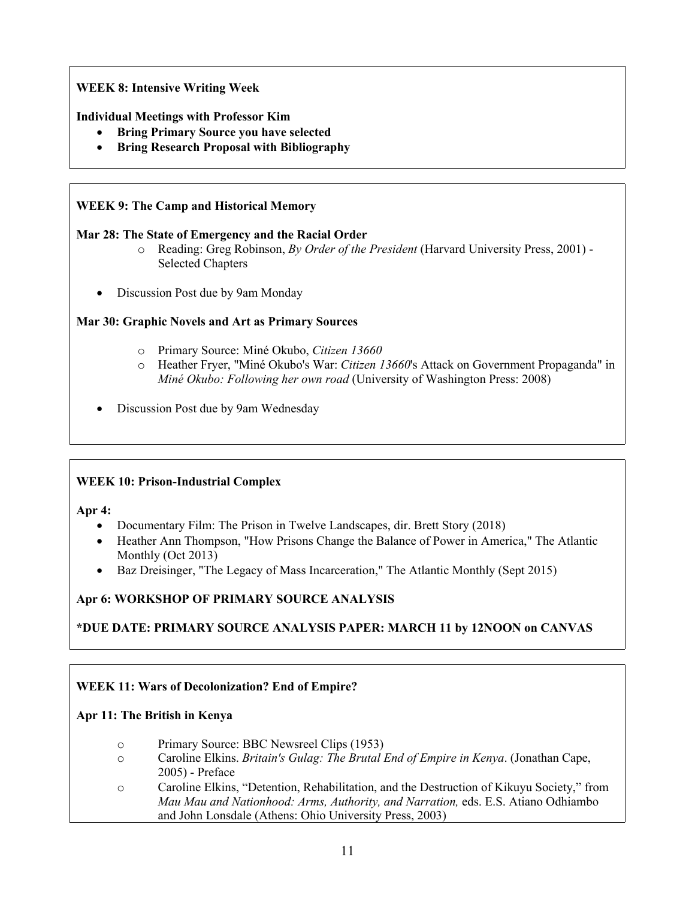# **WEEK 8: Intensive Writing Week**

### **Individual Meetings with Professor Kim**

- **Bring Primary Source you have selected**
- **Bring Research Proposal with Bibliography**

### **WEEK 9: The Camp and Historical Memory**

### **Mar 28: The State of Emergency and the Racial Order**

- o Reading: Greg Robinson, *By Order of the President* (Harvard University Press, 2001) Selected Chapters
- Discussion Post due by 9am Monday

### **Mar 30: Graphic Novels and Art as Primary Sources**

- o Primary Source: Miné Okubo, *Citizen 13660*
- o Heather Fryer, "Miné Okubo's War: *Citizen 13660*'s Attack on Government Propaganda" in *Miné Okubo: Following her own road* (University of Washington Press: 2008)
- Discussion Post due by 9am Wednesday

### **WEEK 10: Prison-Industrial Complex**

**Apr 4:** 

- Documentary Film: The Prison in Twelve Landscapes, dir. Brett Story (2018)
- Heather Ann Thompson, "How Prisons Change the Balance of Power in America," The Atlantic Monthly (Oct 2013)
- Baz Dreisinger, "The Legacy of Mass Incarceration," The Atlantic Monthly (Sept 2015)

### **Apr 6: WORKSHOP OF PRIMARY SOURCE ANALYSIS**

**\*DUE DATE: PRIMARY SOURCE ANALYSIS PAPER: MARCH 11 by 12NOON on CANVAS**

### **WEEK 11: Wars of Decolonization? End of Empire?**

### **Apr 11: The British in Kenya**

- o Primary Source: BBC Newsreel Clips (1953)
- o Caroline Elkins. *Britain's Gulag: The Brutal End of Empire in Kenya*. (Jonathan Cape, 2005) - Preface
- o Caroline Elkins, "Detention, Rehabilitation, and the Destruction of Kikuyu Society," from *Mau Mau and Nationhood: Arms, Authority, and Narration,* eds. E.S. Atiano Odhiambo and John Lonsdale (Athens: Ohio University Press, 2003)